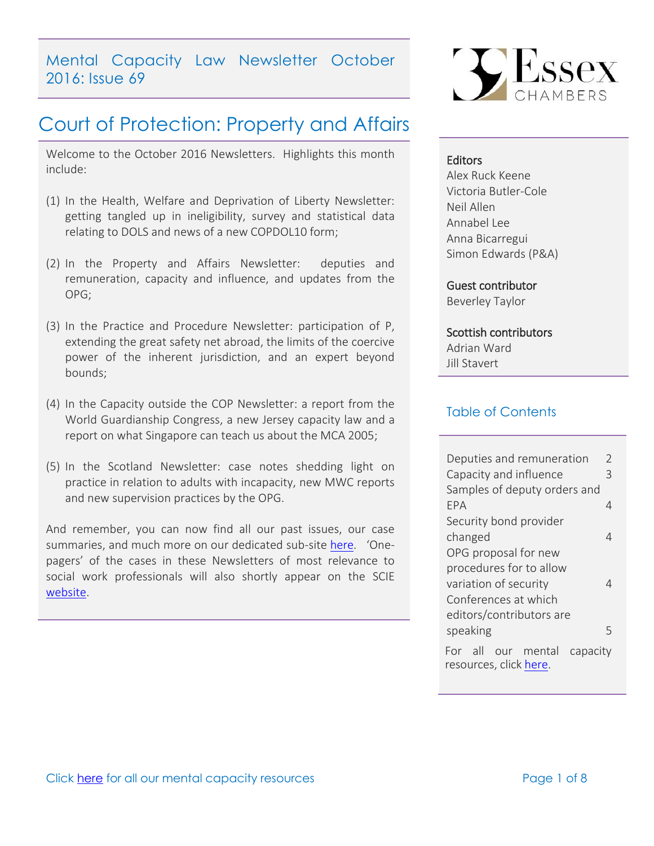Mental Capacity Law Newsletter October 2016: Issue 69

# Court of Protection: Property and Affairs

Welcome to the October 2016 Newsletters. Highlights this month include:

- (1) In the Health, Welfare and Deprivation of Liberty Newsletter: getting tangled up in ineligibility, survey and statistical data relating to DOLS and news of a new COPDOL10 form;
- (2) In the Property and Affairs Newsletter: deputies and remuneration, capacity and influence, and updates from the OPG;
- (3) In the Practice and Procedure Newsletter: participation of P, extending the great safety net abroad, the limits of the coercive power of the inherent jurisdiction, and an expert beyond bounds;
- (4) In the Capacity outside the COP Newsletter: a report from the World Guardianship Congress, a new Jersey capacity law and a report on what Singapore can teach us about the MCA 2005;
- (5) In the Scotland Newsletter: case notes shedding light on practice in relation to adults with incapacity, new MWC reports and new supervision practices by the OPG.

And remember, you can now find all our past issues, our case summaries, and much more on our dedicated sub-site [here](http://www.39essex.com/resources-and-training/mental-capacity-law/). 'Onepagers' of the cases in these Newsletters of most relevance to social work professionals will also shortly appear on the SCIE [website.](http://www.scie.org.uk/mca-directory/)



#### **Editors**

Alex Ruck Keene Victoria Butler-Cole Neil Allen Annabel Lee Anna Bicarregui Simon Edwards (P&A)

Guest contributor Beverley Taylor

### Scottish contributors

Adrian Ward Jill Stavert

## Table of Contents

| Deputies and remuneration                                | V |
|----------------------------------------------------------|---|
| Capacity and influence                                   | 3 |
| Samples of deputy orders and                             |   |
| FPA                                                      | 4 |
| Security bond provider                                   |   |
| changed                                                  | 4 |
| OPG proposal for new                                     |   |
| procedures for to allow                                  |   |
| variation of security                                    | Δ |
| Conferences at which                                     |   |
| editors/contributors are                                 |   |
| speaking                                                 | 5 |
| For all our mental<br>capacity<br>resources, click here. |   |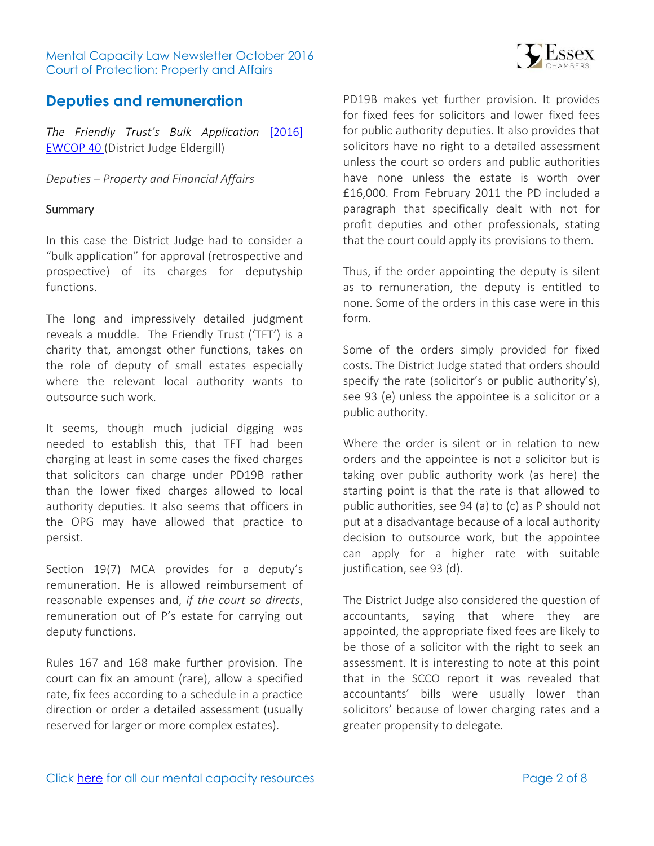Mental Capacity Law Newsletter October 2016 Court of Protection: Property and Affairs



## <span id="page-1-0"></span>**Deputies and remuneration**

*The Friendly Trust's Bulk Application* [\[2016\]](http://www.bailii.org/ew/cases/EWCOP/2016/40.html)  [EWCOP 40 \(](http://www.bailii.org/ew/cases/EWCOP/2016/40.html)District Judge Eldergill)

*Deputies – Property and Financial Affairs* 

#### Summary

In this case the District Judge had to consider a "bulk application" for approval (retrospective and prospective) of its charges for deputyship functions.

The long and impressively detailed judgment reveals a muddle. The Friendly Trust ('TFT') is a charity that, amongst other functions, takes on the role of deputy of small estates especially where the relevant local authority wants to outsource such work.

It seems, though much judicial digging was needed to establish this, that TFT had been charging at least in some cases the fixed charges that solicitors can charge under PD19B rather than the lower fixed charges allowed to local authority deputies. It also seems that officers in the OPG may have allowed that practice to persist.

Section 19(7) MCA provides for a deputy's remuneration. He is allowed reimbursement of reasonable expenses and, *if the court so directs*, remuneration out of P's estate for carrying out deputy functions.

Rules 167 and 168 make further provision. The court can fix an amount (rare), allow a specified rate, fix fees according to a schedule in a practice direction or order a detailed assessment (usually reserved for larger or more complex estates).

PD19B makes yet further provision. It provides for fixed fees for solicitors and lower fixed fees for public authority deputies. It also provides that solicitors have no right to a detailed assessment unless the court so orders and public authorities have none unless the estate is worth over £16,000. From February 2011 the PD included a paragraph that specifically dealt with not for profit deputies and other professionals, stating that the court could apply its provisions to them.

Thus, if the order appointing the deputy is silent as to remuneration, the deputy is entitled to none. Some of the orders in this case were in this form.

Some of the orders simply provided for fixed costs. The District Judge stated that orders should specify the rate (solicitor's or public authority's), see 93 (e) unless the appointee is a solicitor or a public authority.

Where the order is silent or in relation to new orders and the appointee is not a solicitor but is taking over public authority work (as here) the starting point is that the rate is that allowed to public authorities, see 94 (a) to (c) as P should not put at a disadvantage because of a local authority decision to outsource work, but the appointee can apply for a higher rate with suitable justification, see 93 (d).

The District Judge also considered the question of accountants, saying that where they are appointed, the appropriate fixed fees are likely to be those of a solicitor with the right to seek an assessment. It is interesting to note at this point that in the SCCO report it was revealed that accountants' bills were usually lower than solicitors' because of lower charging rates and a greater propensity to delegate.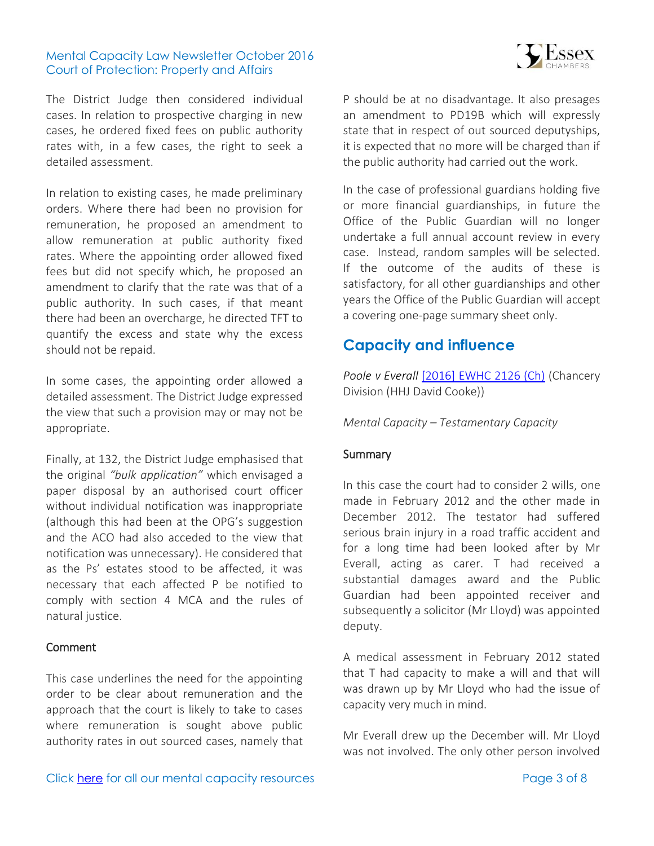#### Mental Capacity Law Newsletter October 2016 Court of Protection: Property and Affairs

The District Judge then considered individual cases. In relation to prospective charging in new cases, he ordered fixed fees on public authority rates with, in a few cases, the right to seek a detailed assessment.

In relation to existing cases, he made preliminary orders. Where there had been no provision for remuneration, he proposed an amendment to allow remuneration at public authority fixed rates. Where the appointing order allowed fixed fees but did not specify which, he proposed an amendment to clarify that the rate was that of a public authority. In such cases, if that meant there had been an overcharge, he directed TFT to quantify the excess and state why the excess should not be repaid.

In some cases, the appointing order allowed a detailed assessment. The District Judge expressed the view that such a provision may or may not be appropriate.

Finally, at 132, the District Judge emphasised that the original *"bulk application"* which envisaged a paper disposal by an authorised court officer without individual notification was inappropriate (although this had been at the OPG's suggestion and the ACO had also acceded to the view that notification was unnecessary). He considered that as the Ps' estates stood to be affected, it was necessary that each affected P be notified to comply with section 4 MCA and the rules of natural justice.

#### Comment

This case underlines the need for the appointing order to be clear about remuneration and the approach that the court is likely to take to cases where remuneration is sought above public authority rates in out sourced cases, namely that

P should be at no disadvantage. It also presages an amendment to PD19B which will expressly state that in respect of out sourced deputyships, it is expected that no more will be charged than if the public authority had carried out the work.

In the case of professional guardians holding five or more financial guardianships, in future the Office of the Public Guardian will no longer undertake a full annual account review in every case. Instead, random samples will be selected. If the outcome of the audits of these is satisfactory, for all other guardianships and other years the Office of the Public Guardian will accept a covering one-page summary sheet only.

## <span id="page-2-0"></span>**Capacity and influence**

*Poole v Everall* [\[2016\] EWHC 2126 \(Ch\)](http://www.bailii.org/ew/cases/EWHC/Ch/2016/2126.html) (Chancery Division (HHJ David Cooke))

*Mental Capacity – Testamentary Capacity* 

#### **Summary**

In this case the court had to consider 2 wills, one made in February 2012 and the other made in December 2012. The testator had suffered serious brain injury in a road traffic accident and for a long time had been looked after by Mr Everall, acting as carer. T had received a substantial damages award and the Public Guardian had been appointed receiver and subsequently a solicitor (Mr Lloyd) was appointed deputy.

A medical assessment in February 2012 stated that T had capacity to make a will and that will was drawn up by Mr Lloyd who had the issue of capacity very much in mind.

Mr Everall drew up the December will. Mr Lloyd was not involved. The only other person involved

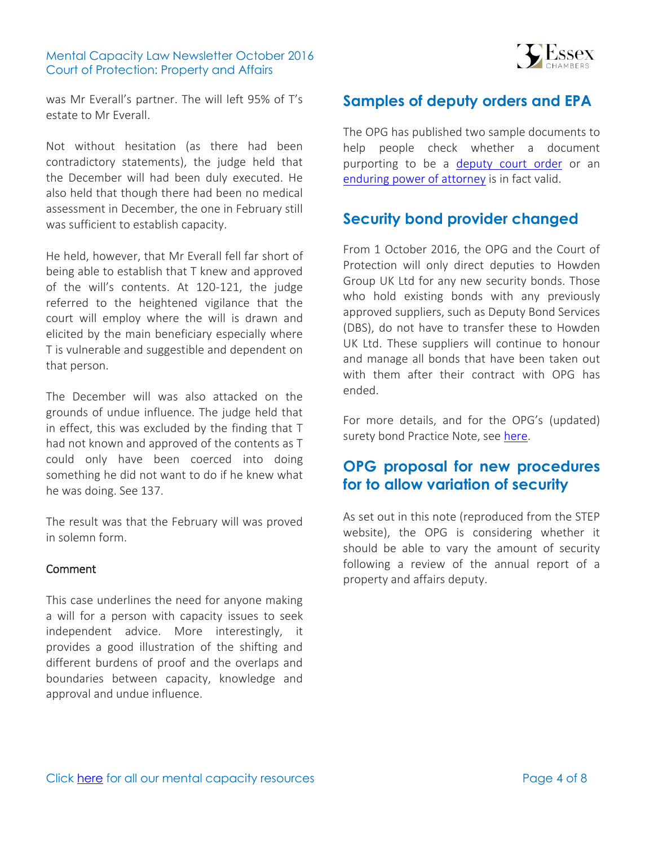#### Mental Capacity Law Newsletter October 2016 Court of Protection: Property and Affairs



was Mr Everall's partner. The will left 95% of T's estate to Mr Everall.

Not without hesitation (as there had been contradictory statements), the judge held that the December will had been duly executed. He also held that though there had been no medical assessment in December, the one in February still was sufficient to establish capacity.

He held, however, that Mr Everall fell far short of being able to establish that T knew and approved of the will's contents. At 120-121, the judge referred to the heightened vigilance that the court will employ where the will is drawn and elicited by the main beneficiary especially where T is vulnerable and suggestible and dependent on that person.

The December will was also attacked on the grounds of undue influence. The judge held that in effect, this was excluded by the finding that T had not known and approved of the contents as T could only have been coerced into doing something he did not want to do if he knew what he was doing. See 137.

The result was that the February will was proved in solemn form.

#### Comment

This case underlines the need for anyone making a will for a person with capacity issues to seek independent advice. More interestingly, it provides a good illustration of the shifting and different burdens of proof and the overlaps and boundaries between capacity, knowledge and approval and undue influence.

# <span id="page-3-0"></span>**Samples of deputy orders and EPA**

The OPG has published two sample documents to help people check whether a document purporting to be a [deputy court order](https://www.gov.uk/government/publications/deputy-court-order-valid-example?j=1838851&e=alex.ruckkeene@39essex.com&l=346_HTML&u=29427441&mid=1062735&jb=0) or an [enduring power of attorney](https://www.gov.uk/government/publications/enduring-power-of-attorney-valid-example?j=1838851&e=alex.ruckkeene@39essex.com&l=346_HTML&u=29427442&mid=1062735&jb=0) is in fact valid.

# <span id="page-3-1"></span>**Security bond provider changed**

From 1 October 2016, the OPG and the Court of Protection will only direct deputies to Howden Group UK Ltd for any new security bonds. Those who hold existing bonds with any previously approved suppliers, such as Deputy Bond Services (DBS), do not have to transfer these to Howden UK Ltd. These suppliers will continue to honour and manage all bonds that have been taken out with them after their contract with OPG has ended.

For more details, and for the OPG's (updated) surety bond Practice Note, see [here.](https://www.gov.uk/government/news/opgs-security-bond-provider-is-changing)

## <span id="page-3-2"></span>**OPG proposal for new procedures for to allow variation of security**

As set out in this note (reproduced from the STEP website), the OPG is considering whether it should be able to vary the amount of security following a review of the annual report of a property and affairs deputy.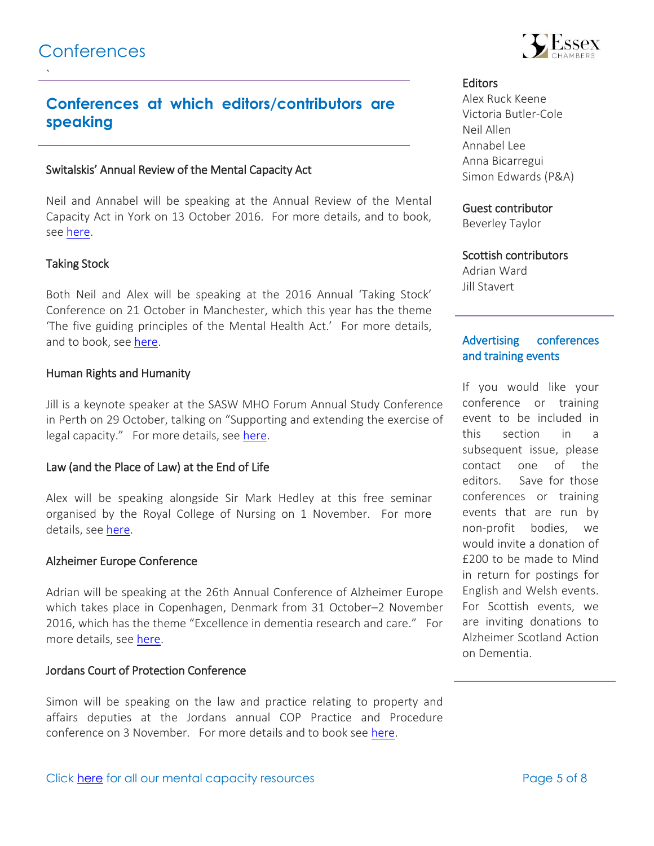<span id="page-4-0"></span>`

# **Conferences at which editors/contributors are speaking**

#### Switalskis' Annual Review of the Mental Capacity Act

Neil and Annabel will be speaking at the Annual Review of the Mental Capacity Act in York on 13 October 2016. For more details, and to book, see [here.](https://www.switalskis.com/annual-review-mental-capacity-act-2005/)

#### Taking Stock

Both Neil and Alex will be speaking at the 2016 Annual 'Taking Stock' Conference on 21 October in Manchester, which this year has the theme 'The five guiding principles of the Mental Health Act.' For more details, and to book, see [here.](http://amhpa.org.uk/taking-stock/)

#### Human Rights and Humanity

Jill is a keynote speaker at the SASW MHO Forum Annual Study Conference in Perth on 29 October, talking on "Supporting and extending the exercise of legal capacity." For more details, see [here.](http://www.socialworkscotland.org/Events)

#### Law (and the Place of Law) at the End of Life

Alex will be speaking alongside Sir Mark Hedley at this free seminar organised by the Royal College of Nursing on 1 November. For more details, see [here.](http://www.mentalcapacitylawandpolicy.org.uk/wp-content/uploads/2016/10/Flyer-1-Nov-2016.pdf)

#### Alzheimer Europe Conference

Adrian will be speaking at the 26th Annual Conference of Alzheimer Europe which takes place in Copenhagen, Denmark from 31 October–2 November 2016, which has the theme "Excellence in dementia research and care." For more details, see [here.](http://alzheimer-europe.org/Conferences/2016-Copenhagen)

#### Jordans Court of Protection Conference

Simon will be speaking on the law and practice relating to property and affairs deputies at the Jordans annual COP Practice and Procedure conference on 3 November. For more details and to book see [here.](http://www.jordanpublishing.co.uk/practice-areas/private-client/events/court-of-protection-practice-and-procedure-seminar-2016#.V6wi0WdTFes)



#### **Editors**

Alex Ruck Keene Victoria Butler-Cole Neil Allen Annabel Lee Anna Bicarregui Simon Edwards (P&A)

#### Guest contributor

Beverley Taylor

#### Scottish contributors

Adrian Ward Jill Stavert

#### Advertising conferences and training events

If you would like your conference or training event to be included in this section in a subsequent issue, please contact one of the editors. Save for those conferences or training events that are run by non-profit bodies, we would invite a donation of £200 to be made to Mind in return for postings for English and Welsh events. For Scottish events, we are inviting donations to Alzheimer Scotland Action on Dementia.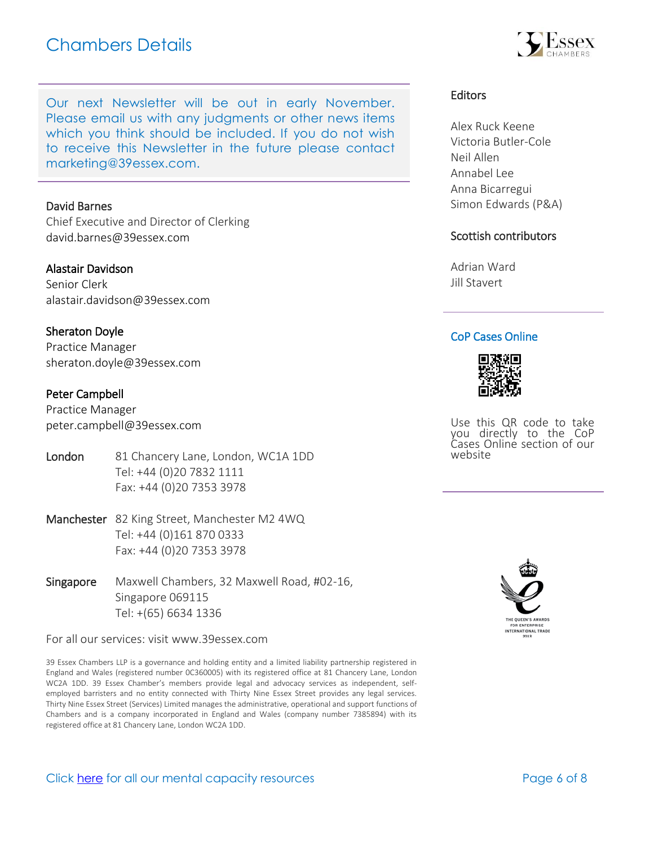# Chambers Details

Our next Newsletter will be out in early November. Please email us with any judgments or other news items which you think should be included. If you do not wish to receive this Newsletter in the future please con[tact](mailto:marketing@39essex.com)  [marketing@39essex.com.](mailto:marketing@39essex.com) 

#### David Barnes

Chief Executive and Director of Clerking [david.barnes@39essex.com](mailto:david.barnes@39essex.com)

#### Alastair Davidson

Senior Clerk [alastair.davidson@39essex.com](mailto:alastair.davidson@39essex.com)

#### Sheraton Doyle

Practice Manager [sheraton.doyle@39essex.com](mailto:sheraton.doyle@39essex.com)

#### Peter Campbell

Practice Manager [peter.campbell@39essex.com](mailto:peter.campbell@39essex.com)

- London 81 Chancery Lane, London, WC1A 1DD Tel: +44 (0)20 7832 1111 Fax: +44 (0)20 7353 3978
- Manchester 82 King Street, Manchester M2 4WQ Tel: +44 (0)161 870 0333 Fax: +44 (0)20 7353 3978
- Singapore Maxwell Chambers, 32 Maxwell Road, #02-16, Singapore 069115 Tel: +(65) 6634 1336

For all our services: visit www.39essex.com

39 Essex Chambers LLP is a governance and holding entity and a limited liability partnership registered in England and Wales (registered number 0C360005) with its registered office at 81 Chancery Lane, London WC2A 1DD. 39 Essex Chamber's members provide legal and advocacy services as independent, selfemployed barristers and no entity connected with Thirty Nine Essex Street provides any legal services. Thirty Nine Essex Street (Services) Limited manages the administrative, operational and support functions of Chambers and is a company incorporated in England and Wales (company number 7385894) with its registered office at 81 Chancery Lane, London WC2A 1DD.



Alex Ruck Keene Victoria Butler-Cole Neil Allen Annabel Lee Anna Bicarregui Simon Edwards (P&A)

#### Scottish contributors

Adrian Ward Jill Stavert

#### CoP Cases Online



Use this QR code to take you directly to the CoP Cases Online section of our website



Click [here](http://www.39essex.com/resources-and-training/mental-capacity-law/) for all our mental capacity resources The Page 6 of 8

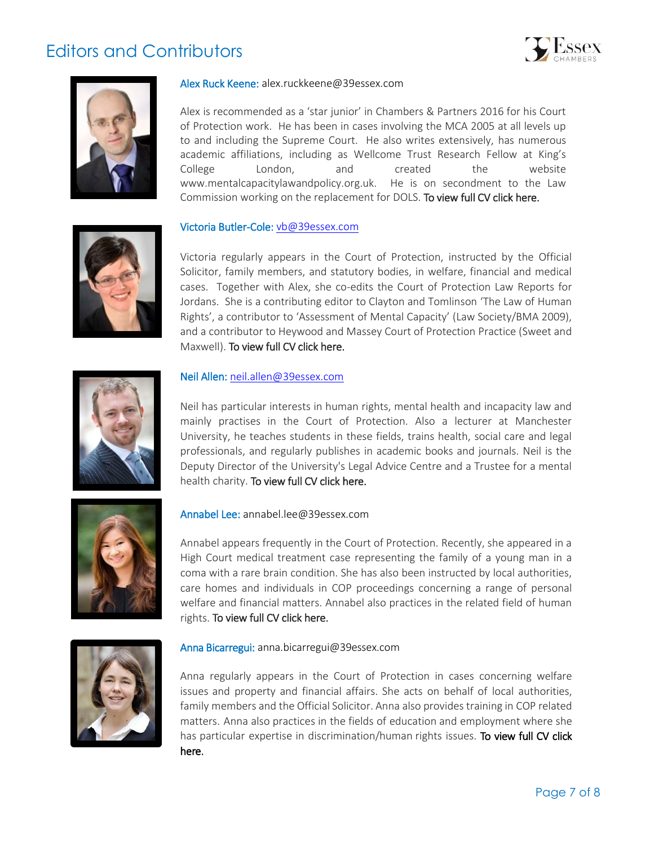# Editors and Contributors





#### Alex Ruck Keene: alex.ruckkeene@39essex.com

Alex is recommended as a 'star junior' in Chambers & Partners 2016 for his Court of Protection work. He has been in cases involving the MCA 2005 at all levels up to and including the Supreme Court. He also writes extensively, has numerous academic affiliations, including as Wellcome Trust Research Fellow at King's College London, and created the website www.mentalcapacitylawandpolicy.org.uk. He is on secondment to the Law Commission working on the replacement for DOLS[. To view full CV click here.](http://www.39essex.com/members/profile.php?cat=2&id=73) 

#### Victoria Butler-Cole: [vb@39essex.com](mailto:vb@39essex.com)

Victoria regularly appears in the Court of Protection, instructed by the Official Solicitor, family members, and statutory bodies, in welfare, financial and medical cases. Together with Alex, she co-edits the Court of Protection Law Reports for Jordans. She is a contributing editor to Clayton and Tomlinson 'The Law of Human Rights', a contributor to 'Assessment of Mental Capacity' (Law Society/BMA 2009), and a contributor to Heywood and Massey Court of Protection Practice (Sweet and Maxwell). [To view full CV click here.](http://www.39essex.com/members/profile.php?cat=2&id=78) 



#### Neil Allen: [neil.allen@39essex.com](mailto:neil.allen@39essex.com)

Neil has particular interests in human rights, mental health and incapacity law and mainly practises in the Court of Protection. Also a lecturer at Manchester University, he teaches students in these fields, trains health, social care and legal professionals, and regularly publishes in academic books and journals. Neil is the Deputy Director of the University's Legal Advice Centre and a Trustee for a mental health charity. To view full CV click here.



#### Annabel Lee: annabel.lee@39essex.com

Annabel appears frequently in the Court of Protection. Recently, she appeared in a High Court medical treatment case representing the family of a young man in a coma with a rare brain condition. She has also been instructed by local authorities, care homes and individuals in COP proceedings concerning a range of personal welfare and financial matters. Annabel also practices in the related field of human rights. To view full CV click here.



#### Anna Bicarregui: [anna.bicarregui@39essex.com](mailto:anna.bicarregui@39essex.com)

Anna regularly appears in the Court of Protection in cases concerning welfare issues and property and financial affairs. She acts on behalf of local authorities, family members and the Official Solicitor. Anna also provides training in COP related matters. Anna also practices in the fields of education and employment where she has particular expertise in discrimination/human rights issues. To view full CV click [here.](http://www.39essex.com/barrister/anna-bicarregui/)